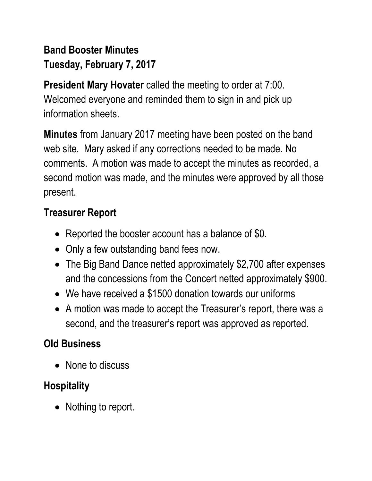## **Band Booster Minutes Tuesday, February 7, 2017**

**President Mary Hovater** called the meeting to order at 7:00. Welcomed everyone and reminded them to sign in and pick up information sheets.

**Minutes** from January 2017 meeting have been posted on the band web site. Mary asked if any corrections needed to be made. No comments. A motion was made to accept the minutes as recorded, a second motion was made, and the minutes were approved by all those present.

#### **Treasurer Report**

- Reported the booster account has a balance of \$0.
- Only a few outstanding band fees now.
- The Big Band Dance netted approximately \$2,700 after expenses and the concessions from the Concert netted approximately \$900.
- We have received a \$1500 donation towards our uniforms
- A motion was made to accept the Treasurer's report, there was a second, and the treasurer's report was approved as reported.

## **Old Business**

• None to discuss

## **Hospitality**

• Nothing to report.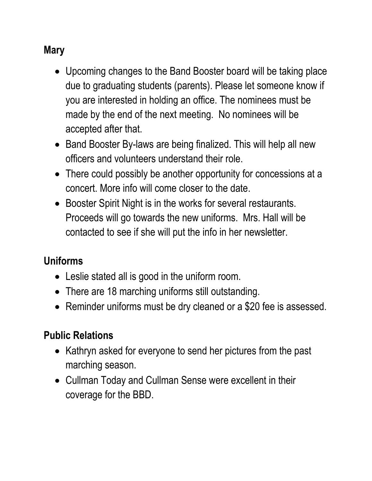### **Mary**

- Upcoming changes to the Band Booster board will be taking place due to graduating students (parents). Please let someone know if you are interested in holding an office. The nominees must be made by the end of the next meeting. No nominees will be accepted after that.
- Band Booster By-laws are being finalized. This will help all new officers and volunteers understand their role.
- There could possibly be another opportunity for concessions at a concert. More info will come closer to the date.
- Booster Spirit Night is in the works for several restaurants. Proceeds will go towards the new uniforms. Mrs. Hall will be contacted to see if she will put the info in her newsletter.

## **Uniforms**

- Leslie stated all is good in the uniform room.
- There are 18 marching uniforms still outstanding.
- Reminder uniforms must be dry cleaned or a \$20 fee is assessed.

## **Public Relations**

- Kathryn asked for everyone to send her pictures from the past marching season.
- Cullman Today and Cullman Sense were excellent in their coverage for the BBD.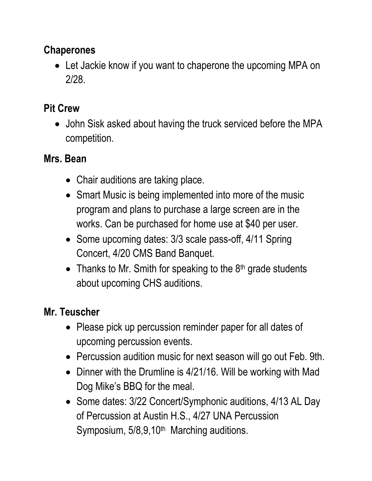#### **Chaperones**

• Let Jackie know if you want to chaperone the upcoming MPA on 2/28.

## **Pit Crew**

• John Sisk asked about having the truck serviced before the MPA competition.

## **Mrs. Bean**

- Chair auditions are taking place.
- Smart Music is being implemented into more of the music program and plans to purchase a large screen are in the works. Can be purchased for home use at \$40 per user.
- Some upcoming dates: 3/3 scale pass-off, 4/11 Spring Concert, 4/20 CMS Band Banquet.
- Thanks to Mr. Smith for speaking to the  $8<sup>th</sup>$  grade students about upcoming CHS auditions.

# **Mr. Teuscher**

- Please pick up percussion reminder paper for all dates of upcoming percussion events.
- Percussion audition music for next season will go out Feb. 9th.
- Dinner with the Drumline is 4/21/16. Will be working with Mad Dog Mike's BBQ for the meal.
- Some dates: 3/22 Concert/Symphonic auditions, 4/13 AL Day of Percussion at Austin H.S., 4/27 UNA Percussion Symposium, 5/8,9,10<sup>th</sup> Marching auditions.